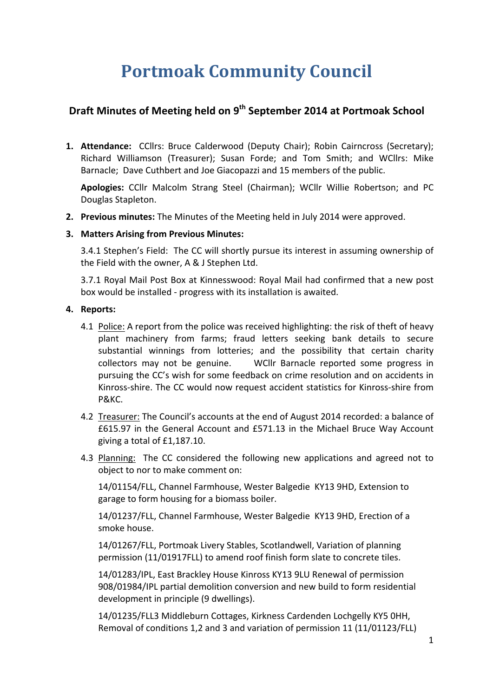# **Portmoak Community Council**

# **Draft Minutes of Meeting held on 9th September 2014 at Portmoak School**

1. Attendance: CCllrs: Bruce Calderwood (Deputy Chair); Robin Cairncross (Secretary); Richard Williamson (Treasurer); Susan Forde; and Tom Smith; and WCllrs: Mike Barnacle; Dave Cuthbert and Joe Giacopazzi and 15 members of the public.

**Apologies:** CCllr Malcolm Strang Steel (Chairman): WCllr Willie Robertson: and PC Douglas Stapleton.

**2. Previous minutes:** The Minutes of the Meeting held in July 2014 were approved.

#### **3. Matters Arising from Previous Minutes:**

3.4.1 Stephen's Field: The CC will shortly pursue its interest in assuming ownership of the Field with the owner, A & J Stephen Ltd.

3.7.1 Royal Mail Post Box at Kinnesswood: Royal Mail had confirmed that a new post box would be installed - progress with its installation is awaited.

#### **4.** Reports:

- 4.1 Police: A report from the police was received highlighting: the risk of theft of heavy plant machinery from farms; fraud letters seeking bank details to secure substantial winnings from lotteries; and the possibility that certain charity collectors may not be genuine. WCllr Barnacle reported some progress in pursuing the CC's wish for some feedback on crime resolution and on accidents in Kinross-shire. The CC would now request accident statistics for Kinross-shire from P&KC.
- 4.2 Treasurer: The Council's accounts at the end of August 2014 recorded: a balance of £615.97 in the General Account and £571.13 in the Michael Bruce Way Account giving a total of £1,187.10.
- 4.3 Planning: The CC considered the following new applications and agreed not to object to nor to make comment on:

14/01154/FLL, Channel Farmhouse, Wester Balgedie KY13 9HD, Extension to garage to form housing for a biomass boiler.

14/01237/FLL, Channel Farmhouse, Wester Balgedie KY13 9HD, Erection of a smoke house.

14/01267/FLL, Portmoak Livery Stables, Scotlandwell, Variation of planning permission (11/01917FLL) to amend roof finish form slate to concrete tiles.

14/01283/IPL, East Brackley House Kinross KY13 9LU Renewal of permission 908/01984/IPL partial demolition conversion and new build to form residential development in principle (9 dwellings).

14/01235/FLL3 Middleburn Cottages, Kirkness Cardenden Lochgelly KY5 0HH, Removal of conditions 1,2 and 3 and variation of permission 11 (11/01123/FLL)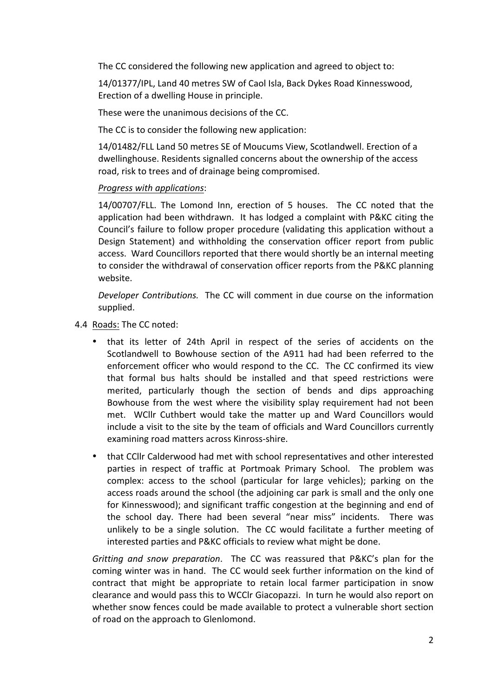The CC considered the following new application and agreed to object to:

14/01377/IPL, Land 40 metres SW of Caol Isla, Back Dykes Road Kinnesswood, Erection of a dwelling House in principle.

These were the unanimous decisions of the CC.

The CC is to consider the following new application:

14/01482/FLL Land 50 metres SE of Moucums View, Scotlandwell. Erection of a dwellinghouse. Residents signalled concerns about the ownership of the access road, risk to trees and of drainage being compromised.

#### *Progress with applications*:

14/00707/FLL. The Lomond Inn, erection of 5 houses. The CC noted that the application had been withdrawn. It has lodged a complaint with P&KC citing the Council's failure to follow proper procedure (validating this application without a Design Statement) and withholding the conservation officer report from public access. Ward Councillors reported that there would shortly be an internal meeting to consider the withdrawal of conservation officer reports from the P&KC planning website.

*Developer Contributions.* The CC will comment in due course on the information supplied. 

- 4.4 Roads: The CC noted:
	- that its letter of 24th April in respect of the series of accidents on the Scotlandwell to Bowhouse section of the A911 had had been referred to the enforcement officer who would respond to the CC. The CC confirmed its view that formal bus halts should be installed and that speed restrictions were merited, particularly though the section of bends and dips approaching Bowhouse from the west where the visibility splay requirement had not been met. WCllr Cuthbert would take the matter up and Ward Councillors would include a visit to the site by the team of officials and Ward Councillors currently examining road matters across Kinross-shire.
	- that CCllr Calderwood had met with school representatives and other interested parties in respect of traffic at Portmoak Primary School. The problem was complex: access to the school (particular for large vehicles); parking on the access roads around the school (the adjoining car park is small and the only one for Kinnesswood); and significant traffic congestion at the beginning and end of the school day. There had been several "near miss" incidents. There was unlikely to be a single solution. The CC would facilitate a further meeting of interested parties and P&KC officials to review what might be done.

*Gritting and snow preparation*. The CC was reassured that P&KC's plan for the coming winter was in hand. The CC would seek further information on the kind of contract that might be appropriate to retain local farmer participation in snow clearance and would pass this to WCClr Giacopazzi. In turn he would also report on whether snow fences could be made available to protect a vulnerable short section of road on the approach to Glenlomond.